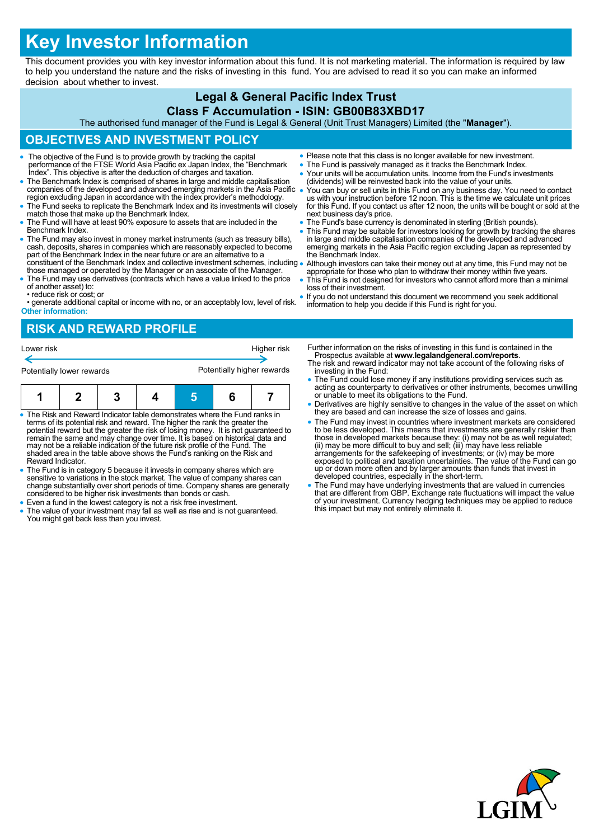# **Key Investor Information**

This document provides you with key investor information about this fund. It is not marketing material. The information is required by law to help you understand the nature and the risks of investing in this fund. You are advised to read it so you can make an informed decision about whether to invest.

## **Legal & General Pacific Index Trust**

#### **Class F Accumulation - ISIN: GB00B83XBD17**

The authorised fund manager of the Fund is Legal & General (Unit Trust Managers) Limited (the "**Manager**").

## **OBJECTIVES AND INVESTMENT POLICY**

- The objective of the Fund is to provide growth by tracking the capital performance of the FTSE World Asia Pacific ex Japan Index, the "Benchmark Index". This objective is after the deduction of charges and taxation.
- The Benchmark Index is comprised of shares in large and middle capitalisation companies of the developed and advanced emerging markets in the Asia Pacific region excluding Japan in accordance with the index provider's methodology.
- The Fund seeks to replicate the Benchmark Index and its investments will closely match those that make up the Benchmark Index.
- The Fund will have at least 90% exposure to assets that are included in the Benchmark Index.
- The Fund may also invest in money market instruments (such as treasury bills), cash, deposits, shares in companies which are reasonably expected to become part of the Benchmark Index in the near future or are an alternat constituent of the Benchmark Index and collective investment schemes, including
- those managed or operated by the Manager or an associate of the Manager. The Fund may use derivatives (contracts which have a value linked to the price of another asset) to:
- reduce risk or cost; or
- generate additional capital or income with no, or an acceptably low, level of risk. **Other information:**
- Please note that this class is no longer available for new investment.
- The Fund is passively managed as it tracks the Benchmark Index.
- Your units will be accumulation units. Income from the Fund's investments (dividends) will be reinvested back into the value of your units.
- You can buy or sell units in this Fund on any business day. You need to contact us with your instruction before 12 noon. This is the time we calculate unit prices for this Fund. If you contact us after 12 noon, the units will be bought or sold at the next business day's price.
- The Fund's base currency is denominated in sterling (British pounds).
- This Fund may be suitable for investors looking for growth by tracking the shares<br>in large and middle capitalisation companies of the developed and advanced<br>emerging markets in the Asia Pacific region excluding Japan as
- Although investors can take their money out at any time, this Fund may not be appropriate for those who plan to withdraw their money within five years.
- This Fund is not designed for investors who cannot afford more than a minimal loss of their investment.
- If you do not understand this document we recommend you seek additional information to help you decide if this Fund is right for you.

## **RISK AND REWARD PROFILE**



- The Risk and Reward Indicator table demonstrates where the Fund ranks in terms of its potential risk and reward. The higher the rank the greater the potential reward but the greater the risk of losing money. It is not guaranteed to remain the same and may change over time. It is based on historical data and may not be a reliable indication of the future risk profile of the Fund. The shaded area in the table above shows the Fund's ranking on the Risk and Reward Indicator.
- The Fund is in category 5 because it invests in company shares which are sensitive to variations in the stock market. The value of company shares can change substantially over short periods of time. Company shares are generally considered to be higher risk investments than bonds or cash.
- Even a fund in the lowest category is not a risk free investment.
- The value of your investment may fall as well as rise and is not guaranteed. You might get back less than you invest.
- Further information on the risks of investing in this fund is contained in the Prospectus available at **www.legalandgeneral.com/reports**.
- The risk and reward indicator may not take account of the following risks of investing in the Fund:
- The Fund could lose money if any institutions providing services such as acting as counterparty to derivatives or other instruments, becomes unwilling or unable to meet its obligations to the Fund.
- Derivatives are highly sensitive to changes in the value of the asset on which they are based and can increase the size of losses and gains.
- The Fund may invest in countries where investment markets are considered to be less developed. This means that investments are generally riskier than<br>those in developed markets because they: (i) may not be as well regulated;<br>(ii) may be more difficult to buy and sell; (iii) may have less reliab exposed to political and taxation uncertainties. The value of the Fund can go up or down more often and by larger amounts than funds that invest in developed countries, especially in the short-term.
- The Fund may have underlying investments that are valued in currencies that are different from GBP. Exchange rate fluctuations will impact the value of your investment. Currency hedging techniques may be applied to reduce this impact but may not entirely eliminate it.